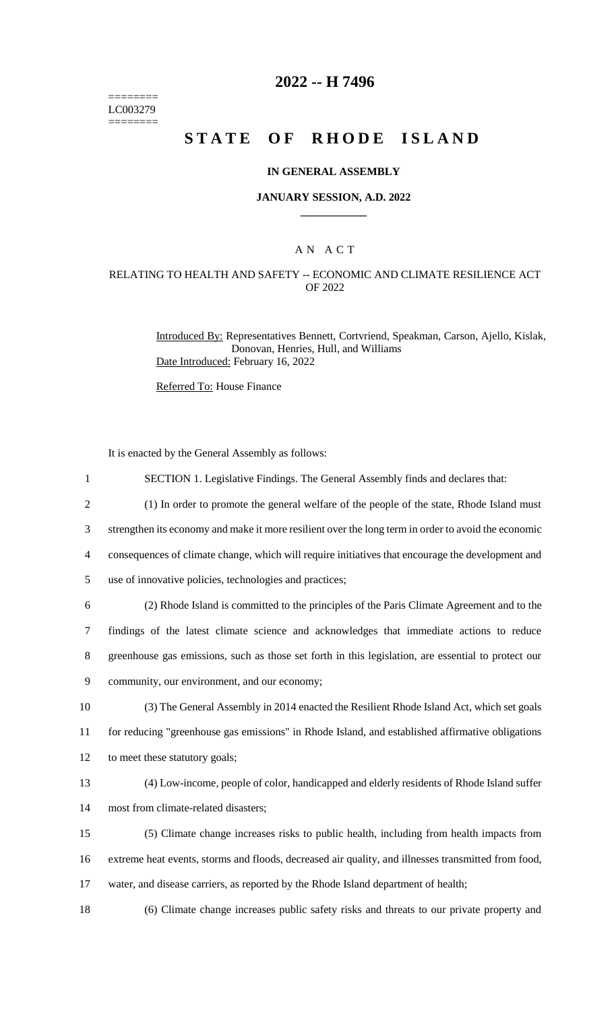======== LC003279  $=$ 

## **2022 -- H 7496**

# **STATE OF RHODE ISLAND**

### **IN GENERAL ASSEMBLY**

### **JANUARY SESSION, A.D. 2022 \_\_\_\_\_\_\_\_\_\_\_\_**

### A N A C T

### RELATING TO HEALTH AND SAFETY -- ECONOMIC AND CLIMATE RESILIENCE ACT OF 2022

Introduced By: Representatives Bennett, Cortvriend, Speakman, Carson, Ajello, Kislak, Donovan, Henries, Hull, and Williams Date Introduced: February 16, 2022

Referred To: House Finance

It is enacted by the General Assembly as follows:

| $\mathbf{1}$   | SECTION 1. Legislative Findings. The General Assembly finds and declares that:                      |
|----------------|-----------------------------------------------------------------------------------------------------|
| $\overline{2}$ | (1) In order to promote the general welfare of the people of the state, Rhode Island must           |
| 3              | strengthen its economy and make it more resilient over the long term in order to avoid the economic |
| 4              | consequences of climate change, which will require initiatives that encourage the development and   |
| 5              | use of innovative policies, technologies and practices;                                             |
| 6              | (2) Rhode Island is committed to the principles of the Paris Climate Agreement and to the           |
| 7              | findings of the latest climate science and acknowledges that immediate actions to reduce            |
| $8\,$          | greenhouse gas emissions, such as those set forth in this legislation, are essential to protect our |
| 9              | community, our environment, and our economy;                                                        |
| 10             | (3) The General Assembly in 2014 enacted the Resilient Rhode Island Act, which set goals            |
| 11             | for reducing "greenhouse gas emissions" in Rhode Island, and established affirmative obligations    |
| 12             | to meet these statutory goals;                                                                      |
| 13             | (4) Low-income, people of color, handicapped and elderly residents of Rhode Island suffer           |
| 14             | most from climate-related disasters;                                                                |
| 15             | (5) Climate change increases risks to public health, including from health impacts from             |
| 16             | extreme heat events, storms and floods, decreased air quality, and illnesses transmitted from food, |
| 17             | water, and disease carriers, as reported by the Rhode Island department of health;                  |
| 18             | (6) Climate change increases public safety risks and threats to our private property and            |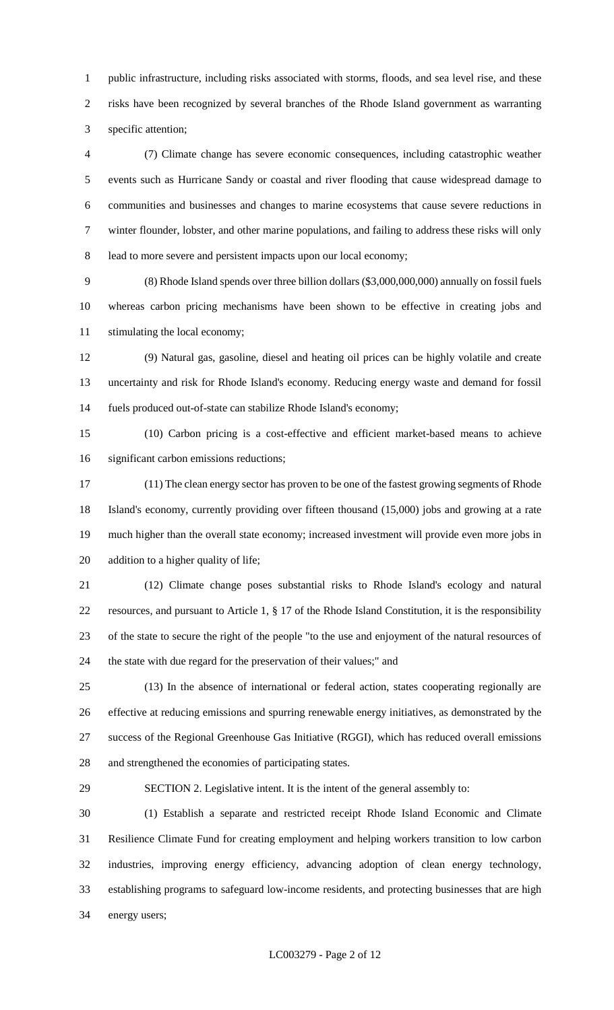public infrastructure, including risks associated with storms, floods, and sea level rise, and these risks have been recognized by several branches of the Rhode Island government as warranting specific attention;

 (7) Climate change has severe economic consequences, including catastrophic weather events such as Hurricane Sandy or coastal and river flooding that cause widespread damage to communities and businesses and changes to marine ecosystems that cause severe reductions in winter flounder, lobster, and other marine populations, and failing to address these risks will only lead to more severe and persistent impacts upon our local economy;

 (8) Rhode Island spends over three billion dollars (\$3,000,000,000) annually on fossil fuels whereas carbon pricing mechanisms have been shown to be effective in creating jobs and stimulating the local economy;

 (9) Natural gas, gasoline, diesel and heating oil prices can be highly volatile and create uncertainty and risk for Rhode Island's economy. Reducing energy waste and demand for fossil fuels produced out-of-state can stabilize Rhode Island's economy;

 (10) Carbon pricing is a cost-effective and efficient market-based means to achieve significant carbon emissions reductions;

 (11) The clean energy sector has proven to be one of the fastest growing segments of Rhode Island's economy, currently providing over fifteen thousand (15,000) jobs and growing at a rate much higher than the overall state economy; increased investment will provide even more jobs in addition to a higher quality of life;

 (12) Climate change poses substantial risks to Rhode Island's ecology and natural resources, and pursuant to Article 1, § 17 of the Rhode Island Constitution, it is the responsibility of the state to secure the right of the people "to the use and enjoyment of the natural resources of the state with due regard for the preservation of their values;" and

 (13) In the absence of international or federal action, states cooperating regionally are effective at reducing emissions and spurring renewable energy initiatives, as demonstrated by the success of the Regional Greenhouse Gas Initiative (RGGI), which has reduced overall emissions and strengthened the economies of participating states.

SECTION 2. Legislative intent. It is the intent of the general assembly to:

 (1) Establish a separate and restricted receipt Rhode Island Economic and Climate Resilience Climate Fund for creating employment and helping workers transition to low carbon industries, improving energy efficiency, advancing adoption of clean energy technology, establishing programs to safeguard low-income residents, and protecting businesses that are high energy users;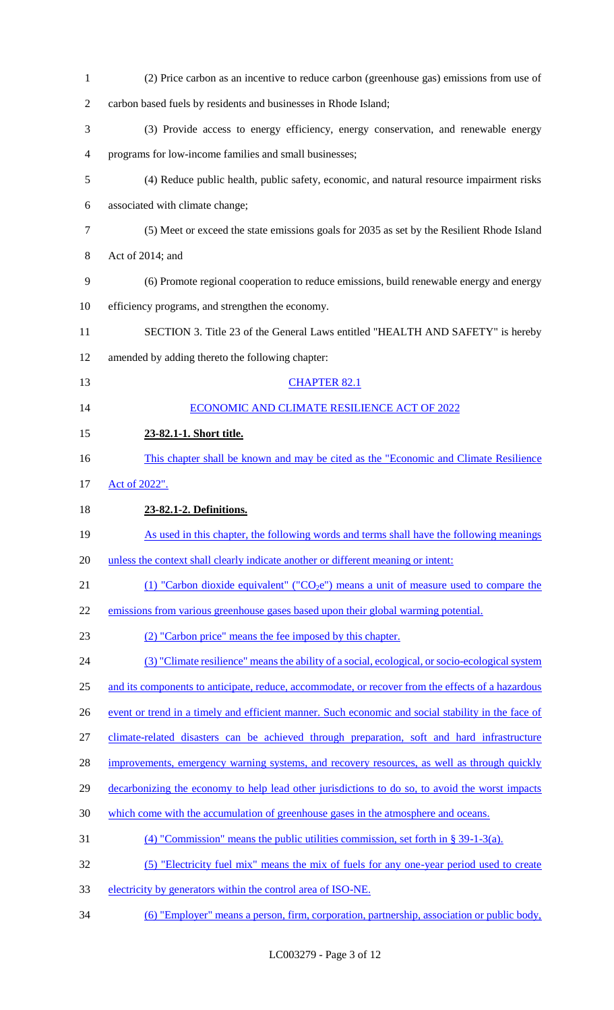| $\mathbf{1}$   | (2) Price carbon as an incentive to reduce carbon (greenhouse gas) emissions from use of           |
|----------------|----------------------------------------------------------------------------------------------------|
| $\overline{2}$ | carbon based fuels by residents and businesses in Rhode Island;                                    |
| 3              | (3) Provide access to energy efficiency, energy conservation, and renewable energy                 |
| 4              | programs for low-income families and small businesses;                                             |
| 5              | (4) Reduce public health, public safety, economic, and natural resource impairment risks           |
| 6              | associated with climate change;                                                                    |
| $\tau$         | (5) Meet or exceed the state emissions goals for 2035 as set by the Resilient Rhode Island         |
| 8              | Act of 2014; and                                                                                   |
| 9              | (6) Promote regional cooperation to reduce emissions, build renewable energy and energy            |
| 10             | efficiency programs, and strengthen the economy.                                                   |
| 11             | SECTION 3. Title 23 of the General Laws entitled "HEALTH AND SAFETY" is hereby                     |
| 12             | amended by adding thereto the following chapter:                                                   |
| 13             | <b>CHAPTER 82.1</b>                                                                                |
| 14             | ECONOMIC AND CLIMATE RESILIENCE ACT OF 2022                                                        |
| 15             | 23-82.1-1. Short title.                                                                            |
| 16             | This chapter shall be known and may be cited as the "Economic and Climate Resilience"              |
| 17             | Act of 2022".                                                                                      |
| 18             | 23-82.1-2. Definitions.                                                                            |
| 19             | As used in this chapter, the following words and terms shall have the following meanings           |
| 20             | unless the context shall clearly indicate another or different meaning or intent:                  |
| 21             | (1) "Carbon dioxide equivalent" ("CO <sub>2</sub> e") means a unit of measure used to compare the  |
| 22             | emissions from various greenhouse gases based upon their global warming potential.                 |
| 23             | (2) "Carbon price" means the fee imposed by this chapter.                                          |
| 24             | (3) "Climate resilience" means the ability of a social, ecological, or socio-ecological system     |
| 25             | and its components to anticipate, reduce, accommodate, or recover from the effects of a hazardous  |
| 26             | event or trend in a timely and efficient manner. Such economic and social stability in the face of |
| 27             | climate-related disasters can be achieved through preparation, soft and hard infrastructure        |
| 28             | improvements, emergency warning systems, and recovery resources, as well as through quickly        |
| 29             | decarbonizing the economy to help lead other jurisdictions to do so, to avoid the worst impacts    |
| 30             | which come with the accumulation of greenhouse gases in the atmosphere and oceans.                 |
| 31             | $(4)$ "Commission" means the public utilities commission, set forth in § 39-1-3(a).                |
| 32             | (5) "Electricity fuel mix" means the mix of fuels for any one-year period used to create           |
| 33             | electricity by generators within the control area of ISO-NE.                                       |
| 34             | (6) "Employer" means a person, firm, corporation, partnership, association or public body,         |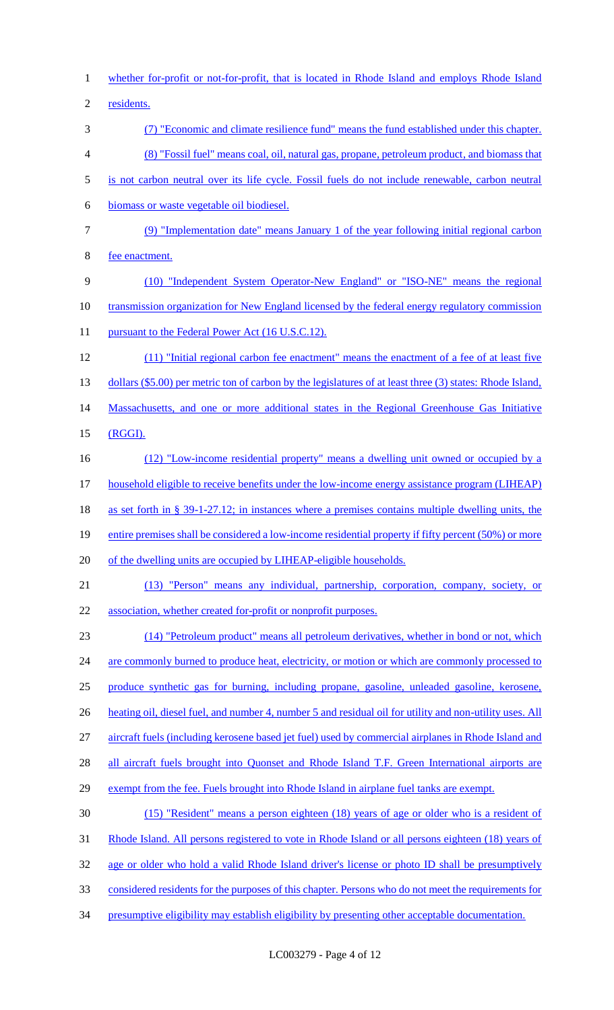whether for-profit or not-for-profit, that is located in Rhode Island and employs Rhode Island residents. (7) "Economic and climate resilience fund" means the fund established under this chapter. (8) "Fossil fuel" means coal, oil, natural gas, propane, petroleum product, and biomass that is not carbon neutral over its life cycle. Fossil fuels do not include renewable, carbon neutral biomass or waste vegetable oil biodiesel. (9) "Implementation date" means January 1 of the year following initial regional carbon fee enactment. (10) "Independent System Operator-New England" or "ISO-NE" means the regional 10 transmission organization for New England licensed by the federal energy regulatory commission 11 pursuant to the Federal Power Act (16 U.S.C.12). (11) "Initial regional carbon fee enactment" means the enactment of a fee of at least five 13 dollars (\$5.00) per metric ton of carbon by the legislatures of at least three (3) states: Rhode Island, 14 Massachusetts, and one or more additional states in the Regional Greenhouse Gas Initiative (RGGI). (12) "Low-income residential property" means a dwelling unit owned or occupied by a 17 household eligible to receive benefits under the low-income energy assistance program (LIHEAP) as set forth in § 39-1-27.12; in instances where a premises contains multiple dwelling units, the entire premises shall be considered a low-income residential property if fifty percent (50%) or more 20 of the dwelling units are occupied by LIHEAP-eligible households. (13) "Person" means any individual, partnership, corporation, company, society, or association, whether created for-profit or nonprofit purposes. (14) "Petroleum product" means all petroleum derivatives, whether in bond or not, which 24 are commonly burned to produce heat, electricity, or motion or which are commonly processed to produce synthetic gas for burning, including propane, gasoline, unleaded gasoline, kerosene, 26 heating oil, diesel fuel, and number 4, number 5 and residual oil for utility and non-utility uses. All aircraft fuels (including kerosene based jet fuel) used by commercial airplanes in Rhode Island and 28 all aircraft fuels brought into Quonset and Rhode Island T.F. Green International airports are exempt from the fee. Fuels brought into Rhode Island in airplane fuel tanks are exempt. (15) "Resident" means a person eighteen (18) years of age or older who is a resident of Rhode Island. All persons registered to vote in Rhode Island or all persons eighteen (18) years of age or older who hold a valid Rhode Island driver's license or photo ID shall be presumptively considered residents for the purposes of this chapter. Persons who do not meet the requirements for 34 presumptive eligibility may establish eligibility by presenting other acceptable documentation.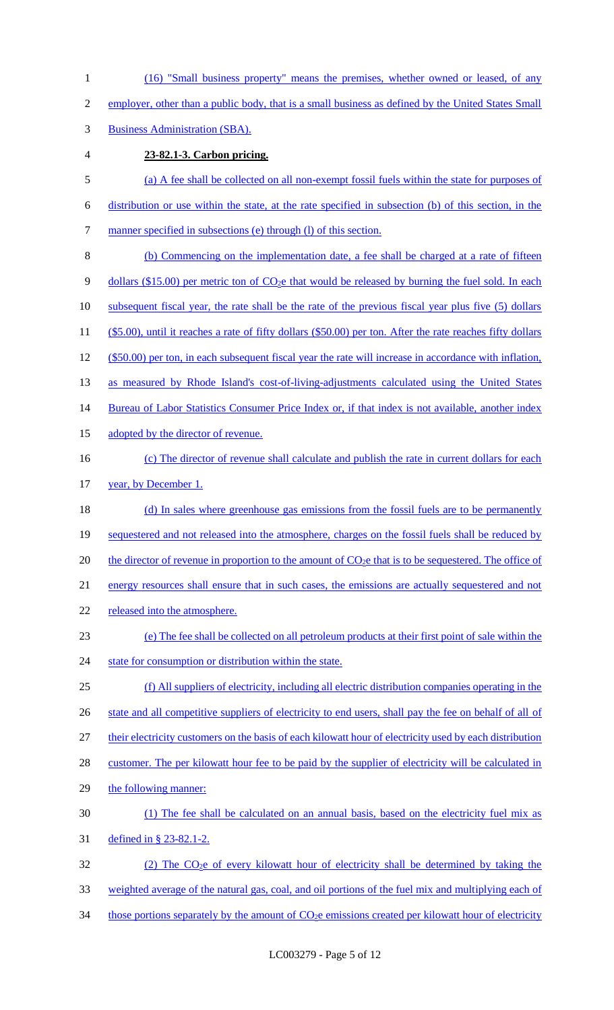1 (16) "Small business property" means the premises, whether owned or leased, of any 2 employer, other than a public body, that is a small business as defined by the United States Small 3 Business Administration (SBA). 4 **23-82.1-3. Carbon pricing.**  5 (a) A fee shall be collected on all non-exempt fossil fuels within the state for purposes of 6 distribution or use within the state, at the rate specified in subsection (b) of this section, in the 7 manner specified in subsections (e) through (l) of this section. 8 (b) Commencing on the implementation date, a fee shall be charged at a rate of fifteen 9 dollars (\$15.00) per metric ton of  $CO<sub>2</sub>e$  that would be released by burning the fuel sold. In each 10 subsequent fiscal year, the rate shall be the rate of the previous fiscal year plus five (5) dollars 11 (\$5.00), until it reaches a rate of fifty dollars (\$50.00) per ton. After the rate reaches fifty dollars 12 (\$50.00) per ton, in each subsequent fiscal year the rate will increase in accordance with inflation, 13 as measured by Rhode Island's cost-of-living-adjustments calculated using the United States 14 Bureau of Labor Statistics Consumer Price Index or, if that index is not available, another index 15 adopted by the director of revenue. 16 (c) The director of revenue shall calculate and publish the rate in current dollars for each 17 year, by December 1. 18 (d) In sales where greenhouse gas emissions from the fossil fuels are to be permanently 19 sequestered and not released into the atmosphere, charges on the fossil fuels shall be reduced by 20 the director of revenue in proportion to the amount of  $CO<sub>2</sub>e$  that is to be sequestered. The office of 21 energy resources shall ensure that in such cases, the emissions are actually sequestered and not 22 released into the atmosphere. 23 (e) The fee shall be collected on all petroleum products at their first point of sale within the 24 state for consumption or distribution within the state. 25 (f) All suppliers of electricity, including all electric distribution companies operating in the 26 state and all competitive suppliers of electricity to end users, shall pay the fee on behalf of all of 27 their electricity customers on the basis of each kilowatt hour of electricity used by each distribution 28 customer. The per kilowatt hour fee to be paid by the supplier of electricity will be calculated in 29 the following manner: 30 (1) The fee shall be calculated on an annual basis, based on the electricity fuel mix as 31 defined in § 23-82.1-2. 32 (2) The CO<sub>2</sub>e of every kilowatt hour of electricity shall be determined by taking the 33 weighted average of the natural gas, coal, and oil portions of the fuel mix and multiplying each of  $34$  those portions separately by the amount of  $CO<sub>2</sub>e$  emissions created per kilowatt hour of electricity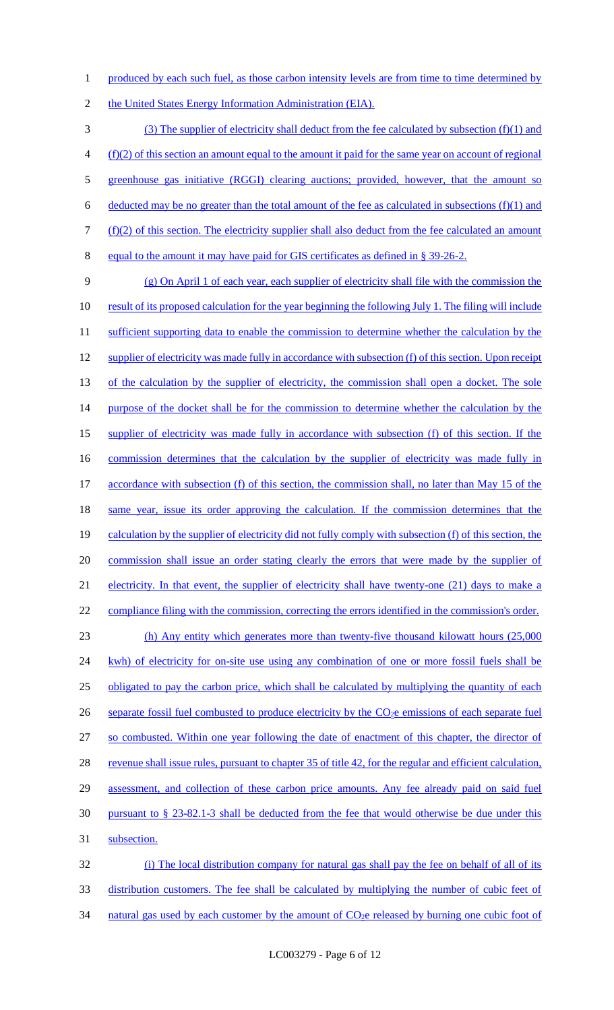1 produced by each such fuel, as those carbon intensity levels are from time to time determined by

2 the United States Energy Information Administration (EIA).

 (3) The supplier of electricity shall deduct from the fee calculated by subsection (f)(1) and (f)(2) of this section an amount equal to the amount it paid for the same year on account of regional 5 greenhouse gas initiative (RGGI) clearing auctions; provided, however, that the amount so 6 deducted may be no greater than the total amount of the fee as calculated in subsections  $(f)(1)$  and (f)(2) of this section. The electricity supplier shall also deduct from the fee calculated an amount equal to the amount it may have paid for GIS certificates as defined in § 39-26-2.

9 (g) On April 1 of each year, each supplier of electricity shall file with the commission the 10 result of its proposed calculation for the year beginning the following July 1. The filing will include 11 sufficient supporting data to enable the commission to determine whether the calculation by the 12 supplier of electricity was made fully in accordance with subsection (f) of this section. Upon receipt 13 of the calculation by the supplier of electricity, the commission shall open a docket. The sole 14 purpose of the docket shall be for the commission to determine whether the calculation by the 15 supplier of electricity was made fully in accordance with subsection (f) of this section. If the 16 commission determines that the calculation by the supplier of electricity was made fully in 17 accordance with subsection (f) of this section, the commission shall, no later than May 15 of the 18 same year, issue its order approving the calculation. If the commission determines that the 19 calculation by the supplier of electricity did not fully comply with subsection (f) of this section, the 20 commission shall issue an order stating clearly the errors that were made by the supplier of 21 electricity. In that event, the supplier of electricity shall have twenty-one (21) days to make a 22 compliance filing with the commission, correcting the errors identified in the commission's order. 23 (h) Any entity which generates more than twenty-five thousand kilowatt hours (25,000 24 kwh) of electricity for on-site use using any combination of one or more fossil fuels shall be 25 obligated to pay the carbon price, which shall be calculated by multiplying the quantity of each 26 separate fossil fuel combusted to produce electricity by the CO<sub>2</sub>e emissions of each separate fuel 27 so combusted. Within one year following the date of enactment of this chapter, the director of 28 revenue shall issue rules, pursuant to chapter 35 of title 42, for the regular and efficient calculation, 29 assessment, and collection of these carbon price amounts. Any fee already paid on said fuel 30 pursuant to § 23-82.1-3 shall be deducted from the fee that would otherwise be due under this 31 subsection. 32 (i) The local distribution company for natural gas shall pay the fee on behalf of all of its

33 distribution customers. The fee shall be calculated by multiplying the number of cubic feet of

34 natural gas used by each customer by the amount of  $CO<sub>2</sub>e$  released by burning one cubic foot of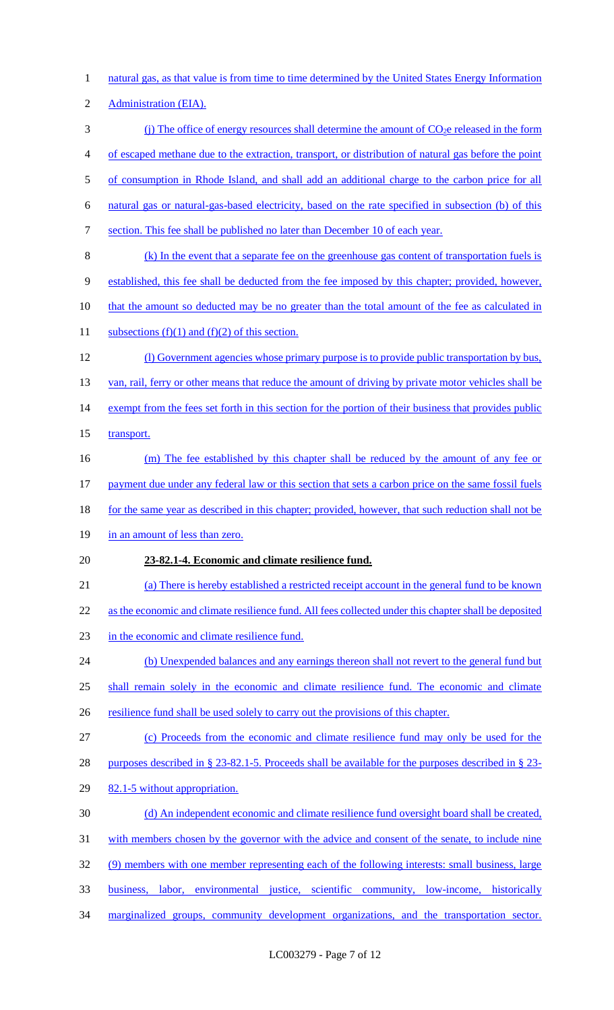natural gas, as that value is from time to time determined by the United States Energy Information Administration (EIA). 3 (j) The office of energy resources shall determine the amount of CO<sub>2</sub>e released in the form of escaped methane due to the extraction, transport, or distribution of natural gas before the point of consumption in Rhode Island, and shall add an additional charge to the carbon price for all natural gas or natural-gas-based electricity, based on the rate specified in subsection (b) of this section. This fee shall be published no later than December 10 of each year. (k) In the event that a separate fee on the greenhouse gas content of transportation fuels is established, this fee shall be deducted from the fee imposed by this chapter; provided, however, 10 that the amount so deducted may be no greater than the total amount of the fee as calculated in 11 subsections  $(f)(1)$  and  $(f)(2)$  of this section. (l) Government agencies whose primary purpose is to provide public transportation by bus, 13 van, rail, ferry or other means that reduce the amount of driving by private motor vehicles shall be 14 exempt from the fees set forth in this section for the portion of their business that provides public 15 transport. (m) The fee established by this chapter shall be reduced by the amount of any fee or payment due under any federal law or this section that sets a carbon price on the same fossil fuels 18 for the same year as described in this chapter; provided, however, that such reduction shall not be 19 in an amount of less than zero. **23-82.1-4. Economic and climate resilience fund.**  (a) There is hereby established a restricted receipt account in the general fund to be known 22 as the economic and climate resilience fund. All fees collected under this chapter shall be deposited in the economic and climate resilience fund. 24 (b) Unexpended balances and any earnings thereon shall not revert to the general fund but shall remain solely in the economic and climate resilience fund. The economic and climate 26 resilience fund shall be used solely to carry out the provisions of this chapter. (c) Proceeds from the economic and climate resilience fund may only be used for the purposes described in § 23-82.1-5. Proceeds shall be available for the purposes described in § 23- 82.1-5 without appropriation. (d) An independent economic and climate resilience fund oversight board shall be created, 31 with members chosen by the governor with the advice and consent of the senate, to include nine (9) members with one member representing each of the following interests: small business, large business, labor, environmental justice, scientific community, low-income, historically marginalized groups, community development organizations, and the transportation sector.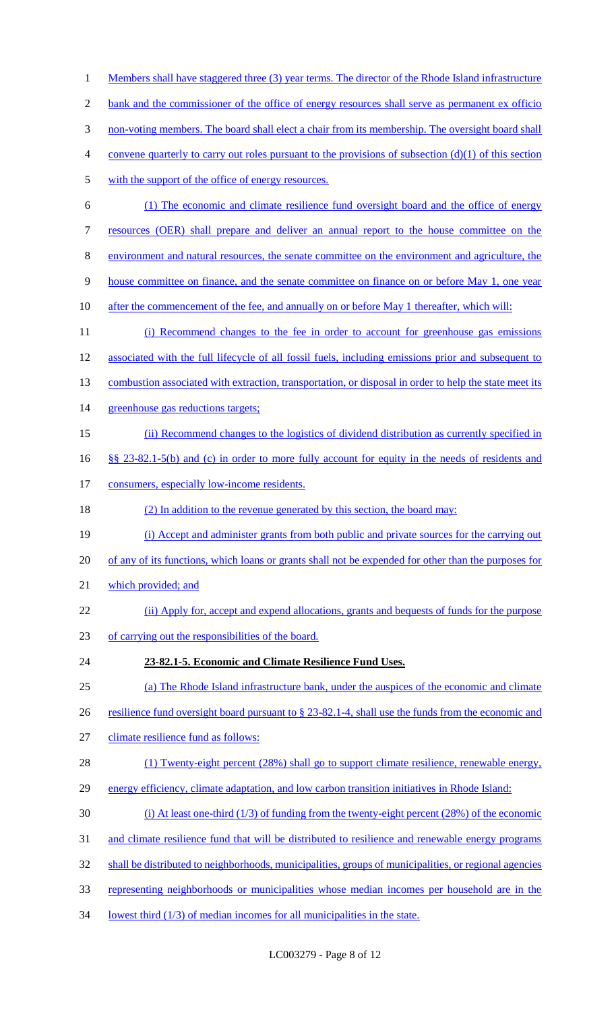1 Members shall have staggered three (3) year terms. The director of the Rhode Island infrastructure 2 bank and the commissioner of the office of energy resources shall serve as permanent ex officio 3 non-voting members. The board shall elect a chair from its membership. The oversight board shall convene quarterly to carry out roles pursuant to the provisions of subsection (d)(1) of this section with the support of the office of energy resources. (1) The economic and climate resilience fund oversight board and the office of energy resources (OER) shall prepare and deliver an annual report to the house committee on the environment and natural resources, the senate committee on the environment and agriculture, the house committee on finance, and the senate committee on finance on or before May 1, one year 10 after the commencement of the fee, and annually on or before May 1 thereafter, which will: 11 (i) Recommend changes to the fee in order to account for greenhouse gas emissions associated with the full lifecycle of all fossil fuels, including emissions prior and subsequent to 13 combustion associated with extraction, transportation, or disposal in order to help the state meet its 14 greenhouse gas reductions targets; (ii) Recommend changes to the logistics of dividend distribution as currently specified in §§ 23-82.1-5(b) and (c) in order to more fully account for equity in the needs of residents and 17 consumers, especially low-income residents. 18 (2) In addition to the revenue generated by this section, the board may: (i) Accept and administer grants from both public and private sources for the carrying out of any of its functions, which loans or grants shall not be expended for other than the purposes for which provided; and (ii) Apply for, accept and expend allocations, grants and bequests of funds for the purpose of carrying out the responsibilities of the board. **23-82.1-5. Economic and Climate Resilience Fund Uses.**  (a) The Rhode Island infrastructure bank, under the auspices of the economic and climate 26 resilience fund oversight board pursuant to § 23-82.1-4, shall use the funds from the economic and climate resilience fund as follows: 28 (1) Twenty-eight percent (28%) shall go to support climate resilience, renewable energy, energy efficiency, climate adaptation, and low carbon transition initiatives in Rhode Island: (i) At least one-third (1/3) of funding from the twenty-eight percent (28%) of the economic and climate resilience fund that will be distributed to resilience and renewable energy programs 32 shall be distributed to neighborhoods, municipalities, groups of municipalities, or regional agencies representing neighborhoods or municipalities whose median incomes per household are in the lowest third (1/3) of median incomes for all municipalities in the state.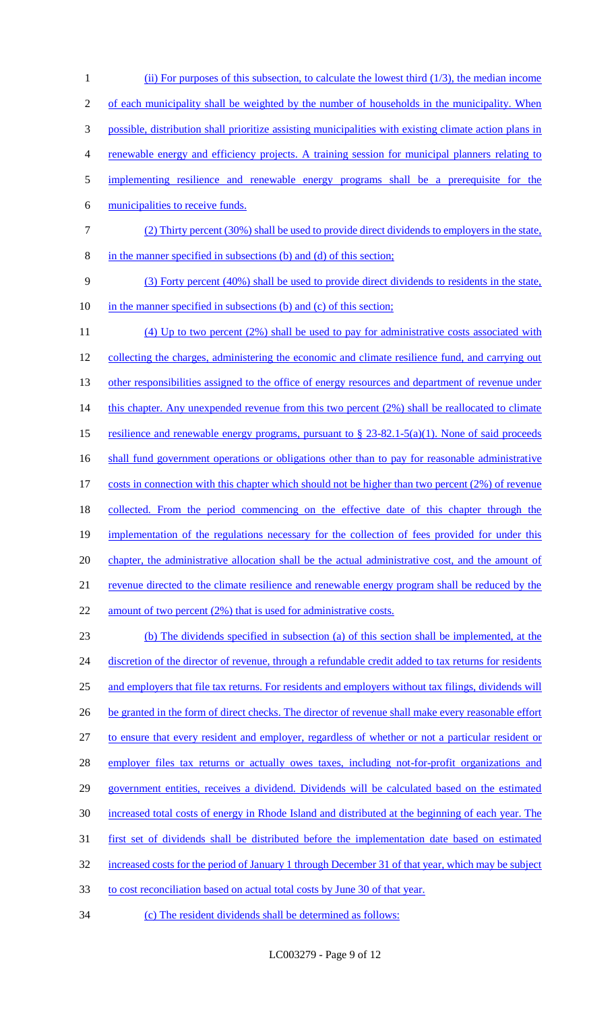(ii) For purposes of this subsection, to calculate the lowest third (1/3), the median income 2 of each municipality shall be weighted by the number of households in the municipality. When possible, distribution shall prioritize assisting municipalities with existing climate action plans in renewable energy and efficiency projects. A training session for municipal planners relating to implementing resilience and renewable energy programs shall be a prerequisite for the municipalities to receive funds. (2) Thirty percent (30%) shall be used to provide direct dividends to employers in the state, in the manner specified in subsections (b) and (d) of this section;

9 (3) Forty percent (40%) shall be used to provide direct dividends to residents in the state, 10 in the manner specified in subsections (b) and (c) of this section;

11 (4) Up to two percent (2%) shall be used to pay for administrative costs associated with 12 collecting the charges, administering the economic and climate resilience fund, and carrying out 13 other responsibilities assigned to the office of energy resources and department of revenue under 14 this chapter. Any unexpended revenue from this two percent (2%) shall be reallocated to climate 15 resilience and renewable energy programs, pursuant to  $\S 23-82.1-5(a)(1)$ . None of said proceeds 16 shall fund government operations or obligations other than to pay for reasonable administrative 17 costs in connection with this chapter which should not be higher than two percent (2%) of revenue 18 collected. From the period commencing on the effective date of this chapter through the 19 implementation of the regulations necessary for the collection of fees provided for under this 20 chapter, the administrative allocation shall be the actual administrative cost, and the amount of 21 revenue directed to the climate resilience and renewable energy program shall be reduced by the 22 amount of two percent (2%) that is used for administrative costs.

 (b) The dividends specified in subsection (a) of this section shall be implemented, at the 24 discretion of the director of revenue, through a refundable credit added to tax returns for residents and employers that file tax returns. For residents and employers without tax filings, dividends will 26 be granted in the form of direct checks. The director of revenue shall make every reasonable effort to ensure that every resident and employer, regardless of whether or not a particular resident or 28 employer files tax returns or actually owes taxes, including not-for-profit organizations and government entities, receives a dividend. Dividends will be calculated based on the estimated increased total costs of energy in Rhode Island and distributed at the beginning of each year. The first set of dividends shall be distributed before the implementation date based on estimated increased costs for the period of January 1 through December 31 of that year, which may be subject to cost reconciliation based on actual total costs by June 30 of that year.

34 (c) The resident dividends shall be determined as follows: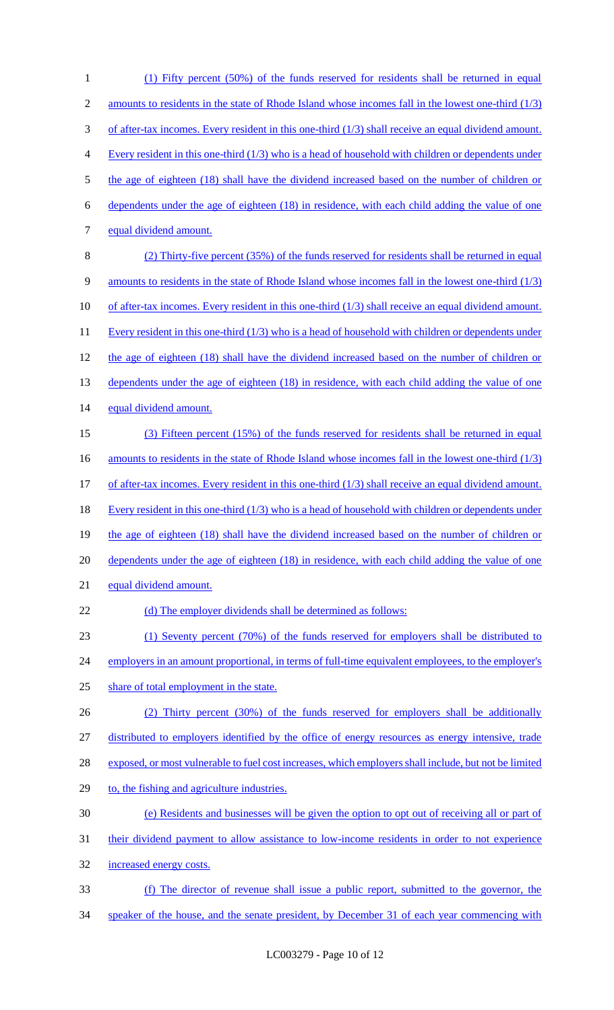1 (1) Fifty percent (50%) of the funds reserved for residents shall be returned in equal 2 amounts to residents in the state of Rhode Island whose incomes fall in the lowest one-third (1/3) 3 of after-tax incomes. Every resident in this one-third (1/3) shall receive an equal dividend amount. 4 Every resident in this one-third (1/3) who is a head of household with children or dependents under 5 the age of eighteen (18) shall have the dividend increased based on the number of children or 6 dependents under the age of eighteen (18) in residence, with each child adding the value of one 7 equal dividend amount. 8 (2) Thirty-five percent (35%) of the funds reserved for residents shall be returned in equal 9 amounts to residents in the state of Rhode Island whose incomes fall in the lowest one-third (1/3) 10 of after-tax incomes. Every resident in this one-third (1/3) shall receive an equal dividend amount. 11 Every resident in this one-third (1/3) who is a head of household with children or dependents under 12 the age of eighteen (18) shall have the dividend increased based on the number of children or 13 dependents under the age of eighteen (18) in residence, with each child adding the value of one 14 equal dividend amount. 15 (3) Fifteen percent (15%) of the funds reserved for residents shall be returned in equal 16 amounts to residents in the state of Rhode Island whose incomes fall in the lowest one-third (1/3) 17 of after-tax incomes. Every resident in this one-third (1/3) shall receive an equal dividend amount. 18 Every resident in this one-third (1/3) who is a head of household with children or dependents under 19 the age of eighteen (18) shall have the dividend increased based on the number of children or 20 dependents under the age of eighteen (18) in residence, with each child adding the value of one 21 equal dividend amount. 22 (d) The employer dividends shall be determined as follows: 23 (1) Seventy percent (70%) of the funds reserved for employers shall be distributed to 24 employers in an amount proportional, in terms of full-time equivalent employees, to the employer's 25 share of total employment in the state. 26 (2) Thirty percent (30%) of the funds reserved for employers shall be additionally 27 distributed to employers identified by the office of energy resources as energy intensive, trade 28 exposed, or most vulnerable to fuel cost increases, which employers shall include, but not be limited 29 to, the fishing and agriculture industries. 30 (e) Residents and businesses will be given the option to opt out of receiving all or part of 31 their dividend payment to allow assistance to low-income residents in order to not experience 32 increased energy costs. 33 (f) The director of revenue shall issue a public report, submitted to the governor, the 34 speaker of the house, and the senate president, by December 31 of each year commencing with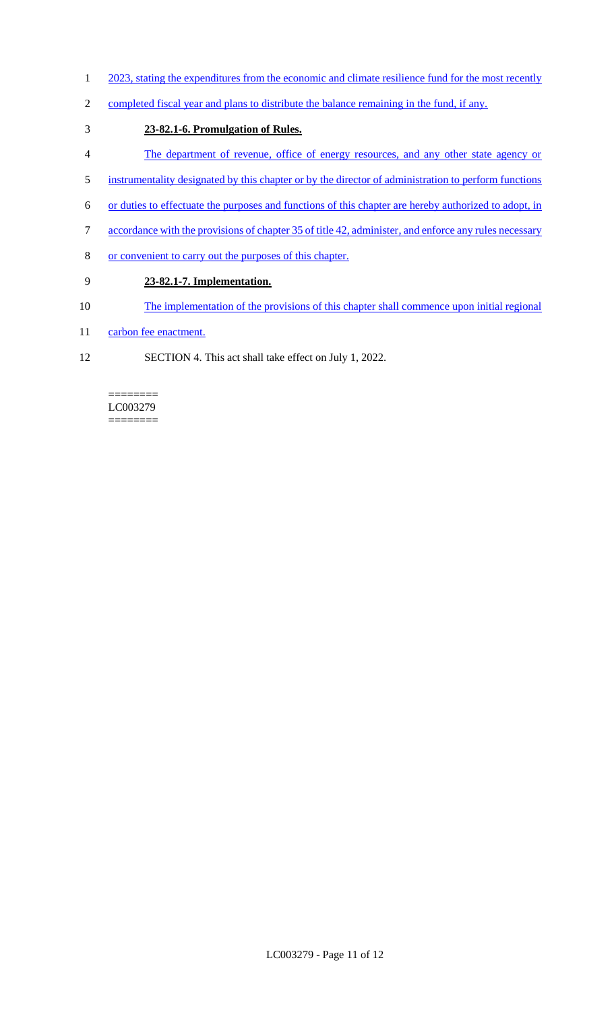- 1 2023, stating the expenditures from the economic and climate resilience fund for the most recently
- 2 completed fiscal year and plans to distribute the balance remaining in the fund, if any.
- 3 **23-82.1-6. Promulgation of Rules.**
- 4 The department of revenue, office of energy resources, and any other state agency or
- 5 instrumentality designated by this chapter or by the director of administration to perform functions
- 6 or duties to effectuate the purposes and functions of this chapter are hereby authorized to adopt, in
- 7 accordance with the provisions of chapter 35 of title 42, administer, and enforce any rules necessary
- 8 or convenient to carry out the purposes of this chapter.

### 9 **23-82.1-7. Implementation.**

- 10 The implementation of the provisions of this chapter shall commence upon initial regional
- 11 carbon fee enactment.
- 12 SECTION 4. This act shall take effect on July 1, 2022.

======== LC003279 ========